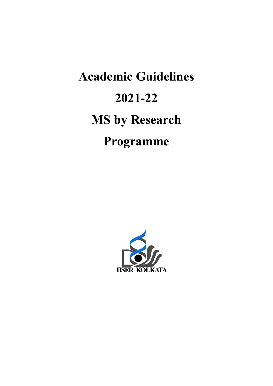# Academic Guidelines 2021-22 MS by Research Programme

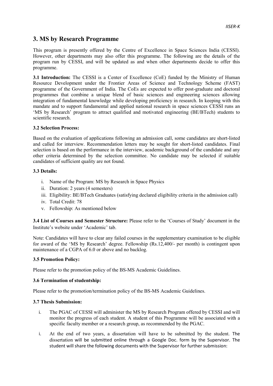# 3. MS by Research Programme

This program is presently offered by the Centre of Excellence in Space Sciences India (CESSI). However, other departments may also offer this programme. The following are the details of the program run by CESSI, and will be updated as and when other departments decide to offer this programme.

3.1 Introduction: The CESSI is a Center of Excellence (CoE) funded by the Ministry of Human Resource Development under the Frontier Areas of Science and Technology Scheme (FAST) programme of the Government of India. The CoEs are expected to offer post-graduate and doctoral programmes that combine a unique blend of basic sciences and engineering sciences allowing integration of fundamental knowledge while developing proficiency in research. In keeping with this mandate and to support fundamental and applied national research in space sciences CESSI runs an 'MS by Research' program to attract qualified and motivated engineering (BE/BTech) students to scientific research.

## 3.2 Selection Process:

Based on the evaluation of applications following an admission call, some candidates are short-listed and called for interview. Recommendation letters may be sought for short-listed candidates. Final selection is based on the performance in the interview, academic background of the candidate and any other criteria determined by the selection committee. No candidate may be selected if suitable candidates of sufficient quality are not found.

## 3.3 Details:

- i. Name of the Program: MS by Research in Space Physics
- ii. Duration: 2 years (4 semesters)
- iii. Eligibility: BE/BTech Graduates (satisfying declared eligibility criteria in the admission call)
- iv. Total Credit: 78
- v. Fellowship: As mentioned below

3.4 List of Courses and Semester Structure: Please refer to the 'Courses of Study' document in the Institute's website under 'Academic' tab.

Note: Candidates will have to clear any failed courses in the supplementary examination to be eligible for award of the 'MS by Research' degree. Fellowship (Rs.12,400/- per month) is contingent upon maintenance of a CGPA of 6.0 or above and no backlog.

#### 3.5 Promotion Policy:

Please refer to the promotion policy of the BS-MS Academic Guidelines.

#### 3.6 Termination of studentship:

Please refer to the promotion/termination policy of the BS-MS Academic Guidelines.

#### 3.7 Thesis Submission:

- i. The PGAC of CESSI will administer the MS by Research Program offered by CESSI and will monitor the progress of each student. A student of this Programme will be associated with a specific faculty member or a research group, as recommended by the PGAC.
- i. At the end of two years, a dissertation will have to be submitted by the student. The dissertation will be submitted online through a Google Doc. form by the Supervisor. The student will share the following documents with the Supervisor for further submission: